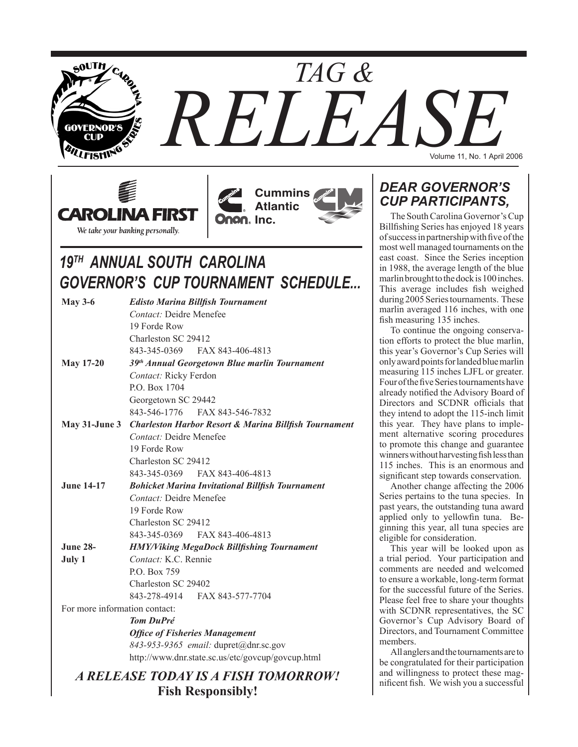







# *19TH ANNUAL SOUTH CAROLINA GOVERNOR'S CUP TOURNAMENT SCHEDULE...*

| <b>May 3-6</b>                        | <b>Edisto Marina Billfish Tournament</b>                         |  |  |  |  |  |  |
|---------------------------------------|------------------------------------------------------------------|--|--|--|--|--|--|
|                                       | <b>Contact:</b> Deidre Menefee                                   |  |  |  |  |  |  |
|                                       | 19 Forde Row                                                     |  |  |  |  |  |  |
|                                       | Charleston SC 29412                                              |  |  |  |  |  |  |
|                                       | 843-345-0369 FAX 843-406-4813                                    |  |  |  |  |  |  |
| <b>May 17-20</b>                      | 39th Annual Georgetown Blue marlin Tournament                    |  |  |  |  |  |  |
|                                       | Contact: Ricky Ferdon                                            |  |  |  |  |  |  |
|                                       | P.O. Box 1704                                                    |  |  |  |  |  |  |
|                                       | Georgetown SC 29442                                              |  |  |  |  |  |  |
|                                       | 843-546-1776 FAX 843-546-7832                                    |  |  |  |  |  |  |
| May 31-June 3                         | <b>Charleston Harbor Resort &amp; Marina Billfish Tournament</b> |  |  |  |  |  |  |
|                                       | Contact: Deidre Menefee                                          |  |  |  |  |  |  |
|                                       | 19 Forde Row                                                     |  |  |  |  |  |  |
|                                       | Charleston SC 29412                                              |  |  |  |  |  |  |
|                                       | 843-345-0369<br>FAX 843-406-4813                                 |  |  |  |  |  |  |
| <b>June 14-17</b>                     | <b>Bohicket Marina Invitational Billfish Tournament</b>          |  |  |  |  |  |  |
|                                       | Contact: Deidre Menefee                                          |  |  |  |  |  |  |
|                                       | 19 Forde Row                                                     |  |  |  |  |  |  |
|                                       | Charleston SC 29412                                              |  |  |  |  |  |  |
|                                       | 843-345-0369 FAX 843-406-4813                                    |  |  |  |  |  |  |
| <b>June 28-</b>                       | <b>HMY/Viking MegaDock Billfishing Tournament</b>                |  |  |  |  |  |  |
| July 1                                | Contact: K.C. Rennie                                             |  |  |  |  |  |  |
|                                       | P.O. Box 759                                                     |  |  |  |  |  |  |
|                                       | Charleston SC 29402                                              |  |  |  |  |  |  |
|                                       | 843-278-4914 FAX 843-577-7704                                    |  |  |  |  |  |  |
| For more information contact:         |                                                                  |  |  |  |  |  |  |
|                                       | <b>Tom DuPré</b>                                                 |  |  |  |  |  |  |
| <b>Office of Fisheries Management</b> |                                                                  |  |  |  |  |  |  |
|                                       | 843-953-9365 email: dupret@dnr.sc.gov                            |  |  |  |  |  |  |
|                                       | http://www.dnr.state.sc.us/etc/govcup/govcup.html                |  |  |  |  |  |  |
|                                       | A RELEASE TODAY IS A FISH TOMORROW!                              |  |  |  |  |  |  |
|                                       |                                                                  |  |  |  |  |  |  |

**Fish Responsibly!**

## *Dear Governor's Cup Participants,*

The South Carolina Governor's Cup Billfishing Series has enjoyed 18 years of success in partnership with five of the most well managed tournaments on the east coast. Since the Series inception in 1988, the average length of the blue marlin brought to the dock is 100 inches. This average includes fish weighed during 2005 Series tournaments. These marlin averaged 116 inches, with one fish measuring 135 inches.

To continue the ongoing conservation efforts to protect the blue marlin, this year's Governor's Cup Series will only award points for landed blue marlin measuring 115 inches LJFL or greater. Four of the five Series tournaments have already notified the Advisory Board of Directors and SCDNR officials that they intend to adopt the 115-inch limit this year. They have plans to implement alternative scoring procedures to promote this change and guarantee winners without harvesting fish less than 115 inches. This is an enormous and significant step towards conservation.

Another change affecting the 2006 Series pertains to the tuna species. In past years, the outstanding tuna award applied only to yellowfin tuna. Beginning this year, all tuna species are eligible for consideration.

This year will be looked upon as a trial period. Your participation and comments are needed and welcomed to ensure a workable, long-term format for the successful future of the Series. Please feel free to share your thoughts with SCDNR representatives, the SC Governor's Cup Advisory Board of Directors, and Tournament Committee members.

All anglers and the tournaments are to be congratulated for their participation and willingness to protect these magnificent fish. We wish you a successful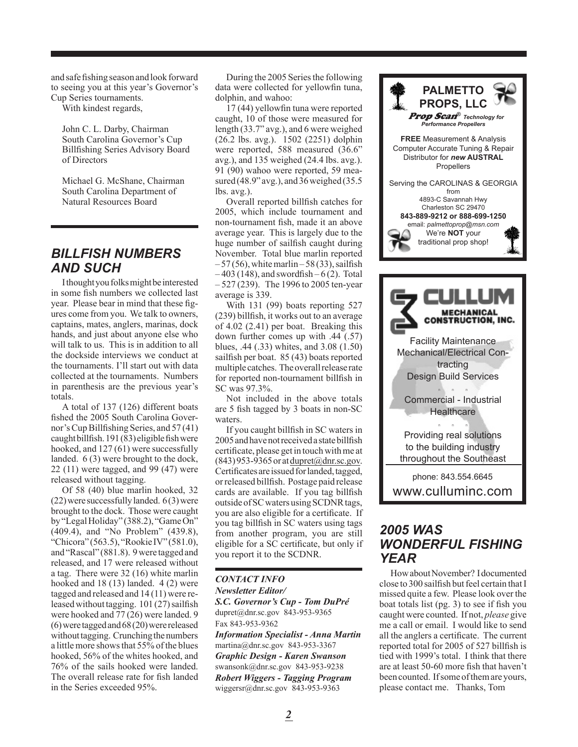and safe fishing season and look forward to seeing you at this year's Governor's Cup Series tournaments.

With kindest regards,

John C. L. Darby, Chairman South Carolina Governor's Cup Billfishing Series Advisory Board of Directors

Michael G. McShane, Chairman South Carolina Department of Natural Resources Board

### *Billfish Numbers and Such*

I thought you folks might be interested in some fish numbers we collected last year. Please bear in mind that these figures come from you. We talk to owners, captains, mates, anglers, marinas, dock hands, and just about anyone else who will talk to us. This is in addition to all the dockside interviews we conduct at the tournaments. I'll start out with data collected at the tournaments. Numbers in parenthesis are the previous year's totals.

A total of 137 (126) different boats fished the 2005 South Carolina Governor's Cup Billfishing Series, and 57 (41) caught billfish. 191 (83) eligible fish were hooked, and 127 (61) were successfully landed. 6 (3) were brought to the dock, 22 (11) were tagged, and 99 (47) were released without tagging.

Of 58 (40) blue marlin hooked, 32 (22) were successfully landed. 6 (3) were brought to the dock. Those were caught by "Legal Holiday" (388.2), "Game On" (409.4), and "No Problem" (439.8), "Chicora" (563.5), "Rookie IV" (581.0), and "Rascal" (881.8). 9 were tagged and released, and 17 were released without a tag. There were 32 (16) white marlin hooked and 18 (13) landed. 4 (2) were tagged and released and 14 (11) were released without tagging. 101 (27) sailfish were hooked and 77 (26) were landed. 9 (6) were tagged and 68 (20) were released without tagging. Crunching the numbers a little more shows that 55% of the blues hooked, 56% of the whites hooked, and 76% of the sails hooked were landed. The overall release rate for fish landed in the Series exceeded 95%.

During the 2005 Series the following data were collected for yellowfin tuna, dolphin, and wahoo:

17 (44) yellowfin tuna were reported caught, 10 of those were measured for length (33.7" avg.), and 6 were weighed (26.2 lbs. avg.). 1502 (2251) dolphin were reported, 588 measured (36.6" avg.), and 135 weighed (24.4 lbs. avg.). 91 (90) wahoo were reported, 59 measured (48.9" avg.), and 36 weighed (35.5 lbs. avg.).

Overall reported billfish catches for 2005, which include tournament and non-tournament fish, made it an above average year. This is largely due to the huge number of sailfish caught during November. Total blue marlin reported  $-57(56)$ , white marlin – 58(33), sailfish  $-403$  (148), and swordfish – 6(2). Total – 527 (239). The 1996 to 2005 ten-year average is 339.

With 131 (99) boats reporting 527 (239) billfish, it works out to an average of 4.02 (2.41) per boat. Breaking this down further comes up with .44 (.57) blues, .44 (.33) whites, and 3.08 (1.50) sailfish per boat. 85 (43) boats reported multiple catches. The overall release rate for reported non-tournament billfish in SC was 97.3%.

Not included in the above totals are 5 fish tagged by 3 boats in non-SC waters.

If you caught billfish in SC waters in 2005 and have not received a state billfish certificate, please get in touch with me at  $(843)$  953-9365 or at dupret $@$ dnr.sc.gov. Certificates are issued for landed, tagged, or released billfish. Postage paid release cards are available. If you tag billfish outside of SC waters using SCDNR tags, you are also eligible for a certificate. If you tag billfish in SC waters using tags from another program, you are still eligible for a SC certificate, but only if you report it to the SCDNR.

#### *CONTACT INFO Newsletter Editor/ S.C. Governor's Cup - Tom DuPré*

dupret@dnr.sc.gov 843-953-9365 Fax 843-953-9362

*Information Specialist - Anna Martin* martina@dnr.sc.gov 843-953-3367 *Graphic Design - Karen Swanson* swansonk@dnr.sc.gov 843-953-9238 *Robert Wiggers - Tagging Program* wiggersr@dnr.sc.gov 843-953-9363



### *2005 was wonderful fishing year*

How about November? I documented close to 300 sailfish but feel certain that I missed quite a few. Please look over the boat totals list (pg. 3) to see if fish you caught were counted. If not, *please* give me a call or email. I would like to send all the anglers a certificate. The current reported total for 2005 of 527 billfish is tied with 1999's total. I think that there are at least 50-60 more fish that haven't been counted. If some of them are yours, please contact me. Thanks, Tom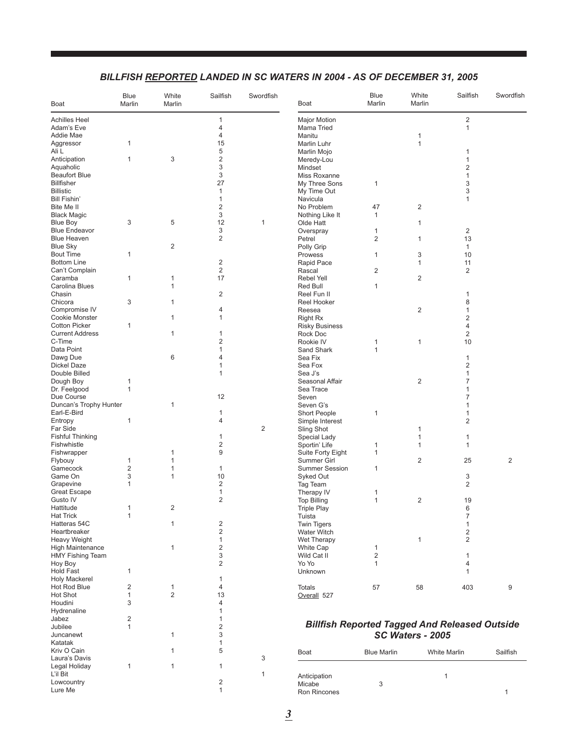### *BILLFISH REPORTED LANDED IN SC WATERS IN 2004 - As of December 31, 2005*

| $\mathbf{1}$<br>$\overline{c}$<br><b>Major Motion</b><br>4<br>Mama Tried<br>1<br>$\overline{4}$<br>Manitu<br>1<br>15<br>1<br>1<br>Aggressor<br>Marlin Luhr<br>5<br>Ali L<br>Marlin Mojo<br>1<br>$\sqrt{2}$<br>$\mathbf{1}$<br>3<br>Anticipation<br>Meredy-Lou<br>1<br>3<br>2<br>Aquaholic<br>Mindset<br>3<br><b>Beaufort Blue</b><br>Miss Roxanne<br>1<br>27<br><b>Billfisher</b><br>1<br>3<br>My Three Sons<br>3<br>$\mathbf{1}$<br>My Time Out<br>Bill Fishin'<br>$\mathbf{1}$<br>Navicula<br>1<br>$\overline{2}$<br>No Problem<br>47<br>$\overline{2}$<br>Bite Me II<br>3<br><b>Black Magic</b><br>Nothing Like It<br>1<br>3<br>5<br>12<br><b>Blue Boy</b><br>$\mathbf{1}$<br>Olde Hatt<br>1<br>3<br><b>Blue Endeavor</b><br>$\overline{c}$<br>Overspray<br>1<br>$\overline{2}$<br>$\overline{2}$<br>13<br>Petrel<br>1<br>$\overline{2}$<br>Polly Grip<br>1<br>3<br><b>Bout Time</b><br>1<br>10<br>Prowess<br>1<br>$\overline{2}$<br><b>Bottom Line</b><br>11<br>Rapid Pace<br>1<br>$\overline{2}$<br>Can't Complain<br>2<br>$\overline{2}$<br>Rascal<br>17<br>Caramba<br>1<br>$\mathbf{1}$<br>$\overline{c}$<br>Rebel Yell<br>Carolina Blues<br>$\mathbf{1}$<br>Red Bull<br>1<br>$\sqrt{2}$<br>Chasin<br>Reel Fun II<br>1<br>3<br>Chicora<br>$\mathbf{1}$<br>8<br>Reel Hooker<br>Compromise IV<br>4<br>$\overline{2}$<br>1<br>Reesea<br>$\mathbf{1}$<br>$\overline{\mathbf{c}}$<br><b>Cookie Monster</b><br>$\mathbf{1}$<br><b>Right Rx</b><br>4<br>1<br><b>Risky Business</b><br><b>Current Address</b><br>1<br>1<br>2<br>Rock Doc<br>$\overline{2}$<br>C-Time<br>1<br>10<br>Rookie IV<br>1<br>Data Point<br>1<br>Sand Shark<br>$\mathbf{1}$<br>6<br>4<br>Dawg Due<br>Sea Fix<br>1<br>Sea Fox<br>2<br>Dickel Daze<br>1<br>Double Billed<br>$\mathbf{1}$<br>Sea J's<br>1<br>1<br>Seasonal Affair<br>$\overline{2}$<br>7<br>$\mathbf{1}$<br>Sea Trace<br>1<br>12<br>7<br>Seven<br>Duncan's Trophy Hunter<br>$\mathbf{1}$<br>Seven G's<br>1<br>Short People<br>Earl-E-Bird<br>1<br>1<br>1<br>$\overline{2}$<br>1<br>$\overline{4}$<br>Entropy<br>Simple Interest<br>2<br>Far Side<br>Sling Shot<br>1<br><b>Fishful Thinking</b><br>1<br>1<br>Special Lady<br>1<br>$\overline{\mathbf{c}}$<br>Sportin' Life<br>1<br>1<br>$\mathbf{1}$<br>$9\,$<br>1<br>Fishwrapper<br>Suite Forty Eight<br>1<br>$\mathbf{1}$<br>$\overline{2}$<br>Flybouy<br>25<br>2<br>1<br>Summer Girl<br>$\overline{\mathbf{c}}$<br>Gamecock<br>$\mathbf{1}$<br>$\mathbf{1}$<br><b>Summer Session</b><br>1<br>3<br>$\mathbf{1}$<br>10<br>Game On<br>3<br>Syked Out<br>$\overline{2}$<br>2<br>Grapevine<br>1<br>Tag Team<br><b>Great Escape</b><br>$\mathbf{1}$<br>Therapy IV<br>1<br>$\overline{2}$<br>Gusto IV<br>$\mathbf{1}$<br>$\overline{2}$<br>19<br><b>Top Billing</b><br>$\overline{2}$<br>1<br>6<br><b>Triple Play</b><br>1<br>Tuista<br>7<br>$\overline{2}$<br>$\mathbf{1}$<br><b>Twin Tigers</b><br>$\mathbf{1}$<br>Hatteras 54C<br>$\sqrt{2}$<br>$\overline{c}$<br>Heartbreaker<br><b>Water Witch</b><br>$\overline{2}$<br><b>Heavy Weight</b><br>$\mathbf{1}$<br>$\mathbf{1}$<br>Wet Therapy<br>$\overline{\mathbf{c}}$<br><b>High Maintenance</b><br>1<br>White Cap<br>1<br>3<br>2<br>HMY Fishing Team<br>Wild Cat II<br>1<br>$\overline{2}$<br>Yo Yo<br>Hoy Boy<br>1<br>4<br><b>Hold Fast</b><br>1<br>Unknown<br>$\mathbf{1}$<br><b>Holy Mackerel</b><br>1<br>Hot Rod Blue<br>2<br>$\mathbf{1}$<br>4<br>58<br>9<br><b>Totals</b><br>57<br>403<br>$\overline{2}$<br>13<br>Hot Shot<br>$\mathbf{1}$<br>Overall <sub>527</sub><br>Houdini<br>3<br>$\overline{4}$<br>Hydrenaline<br>1<br>$\overline{2}$<br>Jabez<br>1<br><b>Billfish Reported Tagged And Released Outside</b><br>$\overline{\mathbf{c}}$<br>Jubilee<br>1<br>3<br>SC Waters - 2005<br>$\mathbf{1}$<br>Juncanewt<br>1<br>5<br>Kriv O Cain<br>$\mathbf{1}$<br><b>Blue Marlin</b><br>Sailfish<br><b>Boat</b><br>White Marlin<br>Laura's Davis<br>3<br>Legal Holiday<br>$\mathbf{1}$<br>$\mathbf{1}$<br>$\mathbf{1}$<br>$\mathbf{1}$<br>Anticipation<br>1 | Boat                 | <b>Blue</b><br>Marlin | White<br>Marlin | Sailfish | Swordfish | Boat | <b>Blue</b><br>Marlin | White<br>Marlin | Sailfish | Swordfish |
|-----------------------------------------------------------------------------------------------------------------------------------------------------------------------------------------------------------------------------------------------------------------------------------------------------------------------------------------------------------------------------------------------------------------------------------------------------------------------------------------------------------------------------------------------------------------------------------------------------------------------------------------------------------------------------------------------------------------------------------------------------------------------------------------------------------------------------------------------------------------------------------------------------------------------------------------------------------------------------------------------------------------------------------------------------------------------------------------------------------------------------------------------------------------------------------------------------------------------------------------------------------------------------------------------------------------------------------------------------------------------------------------------------------------------------------------------------------------------------------------------------------------------------------------------------------------------------------------------------------------------------------------------------------------------------------------------------------------------------------------------------------------------------------------------------------------------------------------------------------------------------------------------------------------------------------------------------------------------------------------------------------------------------------------------------------------------------------------------------------------------------------------------------------------------------------------------------------------------------------------------------------------------------------------------------------------------------------------------------------------------------------------------------------------------------------------------------------------------------------------------------------------------------------------------------------------------------------------------------------------------------------------------------------------------------------------------------------------------------------------------------------------------------------------------------------------------------------------------------------------------------------------------------------------------------------------------------------------------------------------------------------------------------------------------------------------------------------------------------------------------------------------------------------------------------------------------------------------------------------------------------------------------------------------------------------------------------------------------------------------------------------------------------------------------------------------------------------------------------------------------------------------------------------------------------------------------------------------------------------------------------------------------------------------------------------------------------------------------------------------------------------------------------------------------------------------------------------------------------------------------------------------------------------------------------------------------------------------------------------------------------|----------------------|-----------------------|-----------------|----------|-----------|------|-----------------------|-----------------|----------|-----------|
|                                                                                                                                                                                                                                                                                                                                                                                                                                                                                                                                                                                                                                                                                                                                                                                                                                                                                                                                                                                                                                                                                                                                                                                                                                                                                                                                                                                                                                                                                                                                                                                                                                                                                                                                                                                                                                                                                                                                                                                                                                                                                                                                                                                                                                                                                                                                                                                                                                                                                                                                                                                                                                                                                                                                                                                                                                                                                                                                                                                                                                                                                                                                                                                                                                                                                                                                                                                                                                                                                                                                                                                                                                                                                                                                                                                                                                                                                                                                                                                                     | <b>Achilles Heel</b> |                       |                 |          |           |      |                       |                 |          |           |
|                                                                                                                                                                                                                                                                                                                                                                                                                                                                                                                                                                                                                                                                                                                                                                                                                                                                                                                                                                                                                                                                                                                                                                                                                                                                                                                                                                                                                                                                                                                                                                                                                                                                                                                                                                                                                                                                                                                                                                                                                                                                                                                                                                                                                                                                                                                                                                                                                                                                                                                                                                                                                                                                                                                                                                                                                                                                                                                                                                                                                                                                                                                                                                                                                                                                                                                                                                                                                                                                                                                                                                                                                                                                                                                                                                                                                                                                                                                                                                                                     | Adam's Eve           |                       |                 |          |           |      |                       |                 |          |           |
|                                                                                                                                                                                                                                                                                                                                                                                                                                                                                                                                                                                                                                                                                                                                                                                                                                                                                                                                                                                                                                                                                                                                                                                                                                                                                                                                                                                                                                                                                                                                                                                                                                                                                                                                                                                                                                                                                                                                                                                                                                                                                                                                                                                                                                                                                                                                                                                                                                                                                                                                                                                                                                                                                                                                                                                                                                                                                                                                                                                                                                                                                                                                                                                                                                                                                                                                                                                                                                                                                                                                                                                                                                                                                                                                                                                                                                                                                                                                                                                                     | Addie Mae            |                       |                 |          |           |      |                       |                 |          |           |
|                                                                                                                                                                                                                                                                                                                                                                                                                                                                                                                                                                                                                                                                                                                                                                                                                                                                                                                                                                                                                                                                                                                                                                                                                                                                                                                                                                                                                                                                                                                                                                                                                                                                                                                                                                                                                                                                                                                                                                                                                                                                                                                                                                                                                                                                                                                                                                                                                                                                                                                                                                                                                                                                                                                                                                                                                                                                                                                                                                                                                                                                                                                                                                                                                                                                                                                                                                                                                                                                                                                                                                                                                                                                                                                                                                                                                                                                                                                                                                                                     |                      |                       |                 |          |           |      |                       |                 |          |           |
|                                                                                                                                                                                                                                                                                                                                                                                                                                                                                                                                                                                                                                                                                                                                                                                                                                                                                                                                                                                                                                                                                                                                                                                                                                                                                                                                                                                                                                                                                                                                                                                                                                                                                                                                                                                                                                                                                                                                                                                                                                                                                                                                                                                                                                                                                                                                                                                                                                                                                                                                                                                                                                                                                                                                                                                                                                                                                                                                                                                                                                                                                                                                                                                                                                                                                                                                                                                                                                                                                                                                                                                                                                                                                                                                                                                                                                                                                                                                                                                                     |                      |                       |                 |          |           |      |                       |                 |          |           |
|                                                                                                                                                                                                                                                                                                                                                                                                                                                                                                                                                                                                                                                                                                                                                                                                                                                                                                                                                                                                                                                                                                                                                                                                                                                                                                                                                                                                                                                                                                                                                                                                                                                                                                                                                                                                                                                                                                                                                                                                                                                                                                                                                                                                                                                                                                                                                                                                                                                                                                                                                                                                                                                                                                                                                                                                                                                                                                                                                                                                                                                                                                                                                                                                                                                                                                                                                                                                                                                                                                                                                                                                                                                                                                                                                                                                                                                                                                                                                                                                     |                      |                       |                 |          |           |      |                       |                 |          |           |
|                                                                                                                                                                                                                                                                                                                                                                                                                                                                                                                                                                                                                                                                                                                                                                                                                                                                                                                                                                                                                                                                                                                                                                                                                                                                                                                                                                                                                                                                                                                                                                                                                                                                                                                                                                                                                                                                                                                                                                                                                                                                                                                                                                                                                                                                                                                                                                                                                                                                                                                                                                                                                                                                                                                                                                                                                                                                                                                                                                                                                                                                                                                                                                                                                                                                                                                                                                                                                                                                                                                                                                                                                                                                                                                                                                                                                                                                                                                                                                                                     |                      |                       |                 |          |           |      |                       |                 |          |           |
|                                                                                                                                                                                                                                                                                                                                                                                                                                                                                                                                                                                                                                                                                                                                                                                                                                                                                                                                                                                                                                                                                                                                                                                                                                                                                                                                                                                                                                                                                                                                                                                                                                                                                                                                                                                                                                                                                                                                                                                                                                                                                                                                                                                                                                                                                                                                                                                                                                                                                                                                                                                                                                                                                                                                                                                                                                                                                                                                                                                                                                                                                                                                                                                                                                                                                                                                                                                                                                                                                                                                                                                                                                                                                                                                                                                                                                                                                                                                                                                                     |                      |                       |                 |          |           |      |                       |                 |          |           |
|                                                                                                                                                                                                                                                                                                                                                                                                                                                                                                                                                                                                                                                                                                                                                                                                                                                                                                                                                                                                                                                                                                                                                                                                                                                                                                                                                                                                                                                                                                                                                                                                                                                                                                                                                                                                                                                                                                                                                                                                                                                                                                                                                                                                                                                                                                                                                                                                                                                                                                                                                                                                                                                                                                                                                                                                                                                                                                                                                                                                                                                                                                                                                                                                                                                                                                                                                                                                                                                                                                                                                                                                                                                                                                                                                                                                                                                                                                                                                                                                     | <b>Billistic</b>     |                       |                 |          |           |      |                       |                 |          |           |
|                                                                                                                                                                                                                                                                                                                                                                                                                                                                                                                                                                                                                                                                                                                                                                                                                                                                                                                                                                                                                                                                                                                                                                                                                                                                                                                                                                                                                                                                                                                                                                                                                                                                                                                                                                                                                                                                                                                                                                                                                                                                                                                                                                                                                                                                                                                                                                                                                                                                                                                                                                                                                                                                                                                                                                                                                                                                                                                                                                                                                                                                                                                                                                                                                                                                                                                                                                                                                                                                                                                                                                                                                                                                                                                                                                                                                                                                                                                                                                                                     |                      |                       |                 |          |           |      |                       |                 |          |           |
|                                                                                                                                                                                                                                                                                                                                                                                                                                                                                                                                                                                                                                                                                                                                                                                                                                                                                                                                                                                                                                                                                                                                                                                                                                                                                                                                                                                                                                                                                                                                                                                                                                                                                                                                                                                                                                                                                                                                                                                                                                                                                                                                                                                                                                                                                                                                                                                                                                                                                                                                                                                                                                                                                                                                                                                                                                                                                                                                                                                                                                                                                                                                                                                                                                                                                                                                                                                                                                                                                                                                                                                                                                                                                                                                                                                                                                                                                                                                                                                                     |                      |                       |                 |          |           |      |                       |                 |          |           |
|                                                                                                                                                                                                                                                                                                                                                                                                                                                                                                                                                                                                                                                                                                                                                                                                                                                                                                                                                                                                                                                                                                                                                                                                                                                                                                                                                                                                                                                                                                                                                                                                                                                                                                                                                                                                                                                                                                                                                                                                                                                                                                                                                                                                                                                                                                                                                                                                                                                                                                                                                                                                                                                                                                                                                                                                                                                                                                                                                                                                                                                                                                                                                                                                                                                                                                                                                                                                                                                                                                                                                                                                                                                                                                                                                                                                                                                                                                                                                                                                     |                      |                       |                 |          |           |      |                       |                 |          |           |
|                                                                                                                                                                                                                                                                                                                                                                                                                                                                                                                                                                                                                                                                                                                                                                                                                                                                                                                                                                                                                                                                                                                                                                                                                                                                                                                                                                                                                                                                                                                                                                                                                                                                                                                                                                                                                                                                                                                                                                                                                                                                                                                                                                                                                                                                                                                                                                                                                                                                                                                                                                                                                                                                                                                                                                                                                                                                                                                                                                                                                                                                                                                                                                                                                                                                                                                                                                                                                                                                                                                                                                                                                                                                                                                                                                                                                                                                                                                                                                                                     |                      |                       |                 |          |           |      |                       |                 |          |           |
|                                                                                                                                                                                                                                                                                                                                                                                                                                                                                                                                                                                                                                                                                                                                                                                                                                                                                                                                                                                                                                                                                                                                                                                                                                                                                                                                                                                                                                                                                                                                                                                                                                                                                                                                                                                                                                                                                                                                                                                                                                                                                                                                                                                                                                                                                                                                                                                                                                                                                                                                                                                                                                                                                                                                                                                                                                                                                                                                                                                                                                                                                                                                                                                                                                                                                                                                                                                                                                                                                                                                                                                                                                                                                                                                                                                                                                                                                                                                                                                                     | <b>Blue Heaven</b>   |                       |                 |          |           |      |                       |                 |          |           |
|                                                                                                                                                                                                                                                                                                                                                                                                                                                                                                                                                                                                                                                                                                                                                                                                                                                                                                                                                                                                                                                                                                                                                                                                                                                                                                                                                                                                                                                                                                                                                                                                                                                                                                                                                                                                                                                                                                                                                                                                                                                                                                                                                                                                                                                                                                                                                                                                                                                                                                                                                                                                                                                                                                                                                                                                                                                                                                                                                                                                                                                                                                                                                                                                                                                                                                                                                                                                                                                                                                                                                                                                                                                                                                                                                                                                                                                                                                                                                                                                     | <b>Blue Sky</b>      |                       |                 |          |           |      |                       |                 |          |           |
|                                                                                                                                                                                                                                                                                                                                                                                                                                                                                                                                                                                                                                                                                                                                                                                                                                                                                                                                                                                                                                                                                                                                                                                                                                                                                                                                                                                                                                                                                                                                                                                                                                                                                                                                                                                                                                                                                                                                                                                                                                                                                                                                                                                                                                                                                                                                                                                                                                                                                                                                                                                                                                                                                                                                                                                                                                                                                                                                                                                                                                                                                                                                                                                                                                                                                                                                                                                                                                                                                                                                                                                                                                                                                                                                                                                                                                                                                                                                                                                                     |                      |                       |                 |          |           |      |                       |                 |          |           |
|                                                                                                                                                                                                                                                                                                                                                                                                                                                                                                                                                                                                                                                                                                                                                                                                                                                                                                                                                                                                                                                                                                                                                                                                                                                                                                                                                                                                                                                                                                                                                                                                                                                                                                                                                                                                                                                                                                                                                                                                                                                                                                                                                                                                                                                                                                                                                                                                                                                                                                                                                                                                                                                                                                                                                                                                                                                                                                                                                                                                                                                                                                                                                                                                                                                                                                                                                                                                                                                                                                                                                                                                                                                                                                                                                                                                                                                                                                                                                                                                     |                      |                       |                 |          |           |      |                       |                 |          |           |
|                                                                                                                                                                                                                                                                                                                                                                                                                                                                                                                                                                                                                                                                                                                                                                                                                                                                                                                                                                                                                                                                                                                                                                                                                                                                                                                                                                                                                                                                                                                                                                                                                                                                                                                                                                                                                                                                                                                                                                                                                                                                                                                                                                                                                                                                                                                                                                                                                                                                                                                                                                                                                                                                                                                                                                                                                                                                                                                                                                                                                                                                                                                                                                                                                                                                                                                                                                                                                                                                                                                                                                                                                                                                                                                                                                                                                                                                                                                                                                                                     |                      |                       |                 |          |           |      |                       |                 |          |           |
|                                                                                                                                                                                                                                                                                                                                                                                                                                                                                                                                                                                                                                                                                                                                                                                                                                                                                                                                                                                                                                                                                                                                                                                                                                                                                                                                                                                                                                                                                                                                                                                                                                                                                                                                                                                                                                                                                                                                                                                                                                                                                                                                                                                                                                                                                                                                                                                                                                                                                                                                                                                                                                                                                                                                                                                                                                                                                                                                                                                                                                                                                                                                                                                                                                                                                                                                                                                                                                                                                                                                                                                                                                                                                                                                                                                                                                                                                                                                                                                                     |                      |                       |                 |          |           |      |                       |                 |          |           |
|                                                                                                                                                                                                                                                                                                                                                                                                                                                                                                                                                                                                                                                                                                                                                                                                                                                                                                                                                                                                                                                                                                                                                                                                                                                                                                                                                                                                                                                                                                                                                                                                                                                                                                                                                                                                                                                                                                                                                                                                                                                                                                                                                                                                                                                                                                                                                                                                                                                                                                                                                                                                                                                                                                                                                                                                                                                                                                                                                                                                                                                                                                                                                                                                                                                                                                                                                                                                                                                                                                                                                                                                                                                                                                                                                                                                                                                                                                                                                                                                     |                      |                       |                 |          |           |      |                       |                 |          |           |
|                                                                                                                                                                                                                                                                                                                                                                                                                                                                                                                                                                                                                                                                                                                                                                                                                                                                                                                                                                                                                                                                                                                                                                                                                                                                                                                                                                                                                                                                                                                                                                                                                                                                                                                                                                                                                                                                                                                                                                                                                                                                                                                                                                                                                                                                                                                                                                                                                                                                                                                                                                                                                                                                                                                                                                                                                                                                                                                                                                                                                                                                                                                                                                                                                                                                                                                                                                                                                                                                                                                                                                                                                                                                                                                                                                                                                                                                                                                                                                                                     |                      |                       |                 |          |           |      |                       |                 |          |           |
|                                                                                                                                                                                                                                                                                                                                                                                                                                                                                                                                                                                                                                                                                                                                                                                                                                                                                                                                                                                                                                                                                                                                                                                                                                                                                                                                                                                                                                                                                                                                                                                                                                                                                                                                                                                                                                                                                                                                                                                                                                                                                                                                                                                                                                                                                                                                                                                                                                                                                                                                                                                                                                                                                                                                                                                                                                                                                                                                                                                                                                                                                                                                                                                                                                                                                                                                                                                                                                                                                                                                                                                                                                                                                                                                                                                                                                                                                                                                                                                                     |                      |                       |                 |          |           |      |                       |                 |          |           |
|                                                                                                                                                                                                                                                                                                                                                                                                                                                                                                                                                                                                                                                                                                                                                                                                                                                                                                                                                                                                                                                                                                                                                                                                                                                                                                                                                                                                                                                                                                                                                                                                                                                                                                                                                                                                                                                                                                                                                                                                                                                                                                                                                                                                                                                                                                                                                                                                                                                                                                                                                                                                                                                                                                                                                                                                                                                                                                                                                                                                                                                                                                                                                                                                                                                                                                                                                                                                                                                                                                                                                                                                                                                                                                                                                                                                                                                                                                                                                                                                     |                      |                       |                 |          |           |      |                       |                 |          |           |
|                                                                                                                                                                                                                                                                                                                                                                                                                                                                                                                                                                                                                                                                                                                                                                                                                                                                                                                                                                                                                                                                                                                                                                                                                                                                                                                                                                                                                                                                                                                                                                                                                                                                                                                                                                                                                                                                                                                                                                                                                                                                                                                                                                                                                                                                                                                                                                                                                                                                                                                                                                                                                                                                                                                                                                                                                                                                                                                                                                                                                                                                                                                                                                                                                                                                                                                                                                                                                                                                                                                                                                                                                                                                                                                                                                                                                                                                                                                                                                                                     | <b>Cotton Picker</b> |                       |                 |          |           |      |                       |                 |          |           |
|                                                                                                                                                                                                                                                                                                                                                                                                                                                                                                                                                                                                                                                                                                                                                                                                                                                                                                                                                                                                                                                                                                                                                                                                                                                                                                                                                                                                                                                                                                                                                                                                                                                                                                                                                                                                                                                                                                                                                                                                                                                                                                                                                                                                                                                                                                                                                                                                                                                                                                                                                                                                                                                                                                                                                                                                                                                                                                                                                                                                                                                                                                                                                                                                                                                                                                                                                                                                                                                                                                                                                                                                                                                                                                                                                                                                                                                                                                                                                                                                     |                      |                       |                 |          |           |      |                       |                 |          |           |
|                                                                                                                                                                                                                                                                                                                                                                                                                                                                                                                                                                                                                                                                                                                                                                                                                                                                                                                                                                                                                                                                                                                                                                                                                                                                                                                                                                                                                                                                                                                                                                                                                                                                                                                                                                                                                                                                                                                                                                                                                                                                                                                                                                                                                                                                                                                                                                                                                                                                                                                                                                                                                                                                                                                                                                                                                                                                                                                                                                                                                                                                                                                                                                                                                                                                                                                                                                                                                                                                                                                                                                                                                                                                                                                                                                                                                                                                                                                                                                                                     |                      |                       |                 |          |           |      |                       |                 |          |           |
|                                                                                                                                                                                                                                                                                                                                                                                                                                                                                                                                                                                                                                                                                                                                                                                                                                                                                                                                                                                                                                                                                                                                                                                                                                                                                                                                                                                                                                                                                                                                                                                                                                                                                                                                                                                                                                                                                                                                                                                                                                                                                                                                                                                                                                                                                                                                                                                                                                                                                                                                                                                                                                                                                                                                                                                                                                                                                                                                                                                                                                                                                                                                                                                                                                                                                                                                                                                                                                                                                                                                                                                                                                                                                                                                                                                                                                                                                                                                                                                                     |                      |                       |                 |          |           |      |                       |                 |          |           |
|                                                                                                                                                                                                                                                                                                                                                                                                                                                                                                                                                                                                                                                                                                                                                                                                                                                                                                                                                                                                                                                                                                                                                                                                                                                                                                                                                                                                                                                                                                                                                                                                                                                                                                                                                                                                                                                                                                                                                                                                                                                                                                                                                                                                                                                                                                                                                                                                                                                                                                                                                                                                                                                                                                                                                                                                                                                                                                                                                                                                                                                                                                                                                                                                                                                                                                                                                                                                                                                                                                                                                                                                                                                                                                                                                                                                                                                                                                                                                                                                     |                      |                       |                 |          |           |      |                       |                 |          |           |
|                                                                                                                                                                                                                                                                                                                                                                                                                                                                                                                                                                                                                                                                                                                                                                                                                                                                                                                                                                                                                                                                                                                                                                                                                                                                                                                                                                                                                                                                                                                                                                                                                                                                                                                                                                                                                                                                                                                                                                                                                                                                                                                                                                                                                                                                                                                                                                                                                                                                                                                                                                                                                                                                                                                                                                                                                                                                                                                                                                                                                                                                                                                                                                                                                                                                                                                                                                                                                                                                                                                                                                                                                                                                                                                                                                                                                                                                                                                                                                                                     |                      |                       |                 |          |           |      |                       |                 |          |           |
|                                                                                                                                                                                                                                                                                                                                                                                                                                                                                                                                                                                                                                                                                                                                                                                                                                                                                                                                                                                                                                                                                                                                                                                                                                                                                                                                                                                                                                                                                                                                                                                                                                                                                                                                                                                                                                                                                                                                                                                                                                                                                                                                                                                                                                                                                                                                                                                                                                                                                                                                                                                                                                                                                                                                                                                                                                                                                                                                                                                                                                                                                                                                                                                                                                                                                                                                                                                                                                                                                                                                                                                                                                                                                                                                                                                                                                                                                                                                                                                                     | Dough Boy            |                       |                 |          |           |      |                       |                 |          |           |
|                                                                                                                                                                                                                                                                                                                                                                                                                                                                                                                                                                                                                                                                                                                                                                                                                                                                                                                                                                                                                                                                                                                                                                                                                                                                                                                                                                                                                                                                                                                                                                                                                                                                                                                                                                                                                                                                                                                                                                                                                                                                                                                                                                                                                                                                                                                                                                                                                                                                                                                                                                                                                                                                                                                                                                                                                                                                                                                                                                                                                                                                                                                                                                                                                                                                                                                                                                                                                                                                                                                                                                                                                                                                                                                                                                                                                                                                                                                                                                                                     | Dr. Feelgood         |                       |                 |          |           |      |                       |                 |          |           |
|                                                                                                                                                                                                                                                                                                                                                                                                                                                                                                                                                                                                                                                                                                                                                                                                                                                                                                                                                                                                                                                                                                                                                                                                                                                                                                                                                                                                                                                                                                                                                                                                                                                                                                                                                                                                                                                                                                                                                                                                                                                                                                                                                                                                                                                                                                                                                                                                                                                                                                                                                                                                                                                                                                                                                                                                                                                                                                                                                                                                                                                                                                                                                                                                                                                                                                                                                                                                                                                                                                                                                                                                                                                                                                                                                                                                                                                                                                                                                                                                     | Due Course           |                       |                 |          |           |      |                       |                 |          |           |
|                                                                                                                                                                                                                                                                                                                                                                                                                                                                                                                                                                                                                                                                                                                                                                                                                                                                                                                                                                                                                                                                                                                                                                                                                                                                                                                                                                                                                                                                                                                                                                                                                                                                                                                                                                                                                                                                                                                                                                                                                                                                                                                                                                                                                                                                                                                                                                                                                                                                                                                                                                                                                                                                                                                                                                                                                                                                                                                                                                                                                                                                                                                                                                                                                                                                                                                                                                                                                                                                                                                                                                                                                                                                                                                                                                                                                                                                                                                                                                                                     |                      |                       |                 |          |           |      |                       |                 |          |           |
|                                                                                                                                                                                                                                                                                                                                                                                                                                                                                                                                                                                                                                                                                                                                                                                                                                                                                                                                                                                                                                                                                                                                                                                                                                                                                                                                                                                                                                                                                                                                                                                                                                                                                                                                                                                                                                                                                                                                                                                                                                                                                                                                                                                                                                                                                                                                                                                                                                                                                                                                                                                                                                                                                                                                                                                                                                                                                                                                                                                                                                                                                                                                                                                                                                                                                                                                                                                                                                                                                                                                                                                                                                                                                                                                                                                                                                                                                                                                                                                                     |                      |                       |                 |          |           |      |                       |                 |          |           |
|                                                                                                                                                                                                                                                                                                                                                                                                                                                                                                                                                                                                                                                                                                                                                                                                                                                                                                                                                                                                                                                                                                                                                                                                                                                                                                                                                                                                                                                                                                                                                                                                                                                                                                                                                                                                                                                                                                                                                                                                                                                                                                                                                                                                                                                                                                                                                                                                                                                                                                                                                                                                                                                                                                                                                                                                                                                                                                                                                                                                                                                                                                                                                                                                                                                                                                                                                                                                                                                                                                                                                                                                                                                                                                                                                                                                                                                                                                                                                                                                     |                      |                       |                 |          |           |      |                       |                 |          |           |
|                                                                                                                                                                                                                                                                                                                                                                                                                                                                                                                                                                                                                                                                                                                                                                                                                                                                                                                                                                                                                                                                                                                                                                                                                                                                                                                                                                                                                                                                                                                                                                                                                                                                                                                                                                                                                                                                                                                                                                                                                                                                                                                                                                                                                                                                                                                                                                                                                                                                                                                                                                                                                                                                                                                                                                                                                                                                                                                                                                                                                                                                                                                                                                                                                                                                                                                                                                                                                                                                                                                                                                                                                                                                                                                                                                                                                                                                                                                                                                                                     |                      |                       |                 |          |           |      |                       |                 |          |           |
|                                                                                                                                                                                                                                                                                                                                                                                                                                                                                                                                                                                                                                                                                                                                                                                                                                                                                                                                                                                                                                                                                                                                                                                                                                                                                                                                                                                                                                                                                                                                                                                                                                                                                                                                                                                                                                                                                                                                                                                                                                                                                                                                                                                                                                                                                                                                                                                                                                                                                                                                                                                                                                                                                                                                                                                                                                                                                                                                                                                                                                                                                                                                                                                                                                                                                                                                                                                                                                                                                                                                                                                                                                                                                                                                                                                                                                                                                                                                                                                                     | Fishwhistle          |                       |                 |          |           |      |                       |                 |          |           |
|                                                                                                                                                                                                                                                                                                                                                                                                                                                                                                                                                                                                                                                                                                                                                                                                                                                                                                                                                                                                                                                                                                                                                                                                                                                                                                                                                                                                                                                                                                                                                                                                                                                                                                                                                                                                                                                                                                                                                                                                                                                                                                                                                                                                                                                                                                                                                                                                                                                                                                                                                                                                                                                                                                                                                                                                                                                                                                                                                                                                                                                                                                                                                                                                                                                                                                                                                                                                                                                                                                                                                                                                                                                                                                                                                                                                                                                                                                                                                                                                     |                      |                       |                 |          |           |      |                       |                 |          |           |
|                                                                                                                                                                                                                                                                                                                                                                                                                                                                                                                                                                                                                                                                                                                                                                                                                                                                                                                                                                                                                                                                                                                                                                                                                                                                                                                                                                                                                                                                                                                                                                                                                                                                                                                                                                                                                                                                                                                                                                                                                                                                                                                                                                                                                                                                                                                                                                                                                                                                                                                                                                                                                                                                                                                                                                                                                                                                                                                                                                                                                                                                                                                                                                                                                                                                                                                                                                                                                                                                                                                                                                                                                                                                                                                                                                                                                                                                                                                                                                                                     |                      |                       |                 |          |           |      |                       |                 |          |           |
|                                                                                                                                                                                                                                                                                                                                                                                                                                                                                                                                                                                                                                                                                                                                                                                                                                                                                                                                                                                                                                                                                                                                                                                                                                                                                                                                                                                                                                                                                                                                                                                                                                                                                                                                                                                                                                                                                                                                                                                                                                                                                                                                                                                                                                                                                                                                                                                                                                                                                                                                                                                                                                                                                                                                                                                                                                                                                                                                                                                                                                                                                                                                                                                                                                                                                                                                                                                                                                                                                                                                                                                                                                                                                                                                                                                                                                                                                                                                                                                                     |                      |                       |                 |          |           |      |                       |                 |          |           |
|                                                                                                                                                                                                                                                                                                                                                                                                                                                                                                                                                                                                                                                                                                                                                                                                                                                                                                                                                                                                                                                                                                                                                                                                                                                                                                                                                                                                                                                                                                                                                                                                                                                                                                                                                                                                                                                                                                                                                                                                                                                                                                                                                                                                                                                                                                                                                                                                                                                                                                                                                                                                                                                                                                                                                                                                                                                                                                                                                                                                                                                                                                                                                                                                                                                                                                                                                                                                                                                                                                                                                                                                                                                                                                                                                                                                                                                                                                                                                                                                     |                      |                       |                 |          |           |      |                       |                 |          |           |
|                                                                                                                                                                                                                                                                                                                                                                                                                                                                                                                                                                                                                                                                                                                                                                                                                                                                                                                                                                                                                                                                                                                                                                                                                                                                                                                                                                                                                                                                                                                                                                                                                                                                                                                                                                                                                                                                                                                                                                                                                                                                                                                                                                                                                                                                                                                                                                                                                                                                                                                                                                                                                                                                                                                                                                                                                                                                                                                                                                                                                                                                                                                                                                                                                                                                                                                                                                                                                                                                                                                                                                                                                                                                                                                                                                                                                                                                                                                                                                                                     |                      |                       |                 |          |           |      |                       |                 |          |           |
|                                                                                                                                                                                                                                                                                                                                                                                                                                                                                                                                                                                                                                                                                                                                                                                                                                                                                                                                                                                                                                                                                                                                                                                                                                                                                                                                                                                                                                                                                                                                                                                                                                                                                                                                                                                                                                                                                                                                                                                                                                                                                                                                                                                                                                                                                                                                                                                                                                                                                                                                                                                                                                                                                                                                                                                                                                                                                                                                                                                                                                                                                                                                                                                                                                                                                                                                                                                                                                                                                                                                                                                                                                                                                                                                                                                                                                                                                                                                                                                                     |                      |                       |                 |          |           |      |                       |                 |          |           |
|                                                                                                                                                                                                                                                                                                                                                                                                                                                                                                                                                                                                                                                                                                                                                                                                                                                                                                                                                                                                                                                                                                                                                                                                                                                                                                                                                                                                                                                                                                                                                                                                                                                                                                                                                                                                                                                                                                                                                                                                                                                                                                                                                                                                                                                                                                                                                                                                                                                                                                                                                                                                                                                                                                                                                                                                                                                                                                                                                                                                                                                                                                                                                                                                                                                                                                                                                                                                                                                                                                                                                                                                                                                                                                                                                                                                                                                                                                                                                                                                     | Hattitude            |                       |                 |          |           |      |                       |                 |          |           |
|                                                                                                                                                                                                                                                                                                                                                                                                                                                                                                                                                                                                                                                                                                                                                                                                                                                                                                                                                                                                                                                                                                                                                                                                                                                                                                                                                                                                                                                                                                                                                                                                                                                                                                                                                                                                                                                                                                                                                                                                                                                                                                                                                                                                                                                                                                                                                                                                                                                                                                                                                                                                                                                                                                                                                                                                                                                                                                                                                                                                                                                                                                                                                                                                                                                                                                                                                                                                                                                                                                                                                                                                                                                                                                                                                                                                                                                                                                                                                                                                     | Hat Trick            |                       |                 |          |           |      |                       |                 |          |           |
|                                                                                                                                                                                                                                                                                                                                                                                                                                                                                                                                                                                                                                                                                                                                                                                                                                                                                                                                                                                                                                                                                                                                                                                                                                                                                                                                                                                                                                                                                                                                                                                                                                                                                                                                                                                                                                                                                                                                                                                                                                                                                                                                                                                                                                                                                                                                                                                                                                                                                                                                                                                                                                                                                                                                                                                                                                                                                                                                                                                                                                                                                                                                                                                                                                                                                                                                                                                                                                                                                                                                                                                                                                                                                                                                                                                                                                                                                                                                                                                                     |                      |                       |                 |          |           |      |                       |                 |          |           |
|                                                                                                                                                                                                                                                                                                                                                                                                                                                                                                                                                                                                                                                                                                                                                                                                                                                                                                                                                                                                                                                                                                                                                                                                                                                                                                                                                                                                                                                                                                                                                                                                                                                                                                                                                                                                                                                                                                                                                                                                                                                                                                                                                                                                                                                                                                                                                                                                                                                                                                                                                                                                                                                                                                                                                                                                                                                                                                                                                                                                                                                                                                                                                                                                                                                                                                                                                                                                                                                                                                                                                                                                                                                                                                                                                                                                                                                                                                                                                                                                     |                      |                       |                 |          |           |      |                       |                 |          |           |
|                                                                                                                                                                                                                                                                                                                                                                                                                                                                                                                                                                                                                                                                                                                                                                                                                                                                                                                                                                                                                                                                                                                                                                                                                                                                                                                                                                                                                                                                                                                                                                                                                                                                                                                                                                                                                                                                                                                                                                                                                                                                                                                                                                                                                                                                                                                                                                                                                                                                                                                                                                                                                                                                                                                                                                                                                                                                                                                                                                                                                                                                                                                                                                                                                                                                                                                                                                                                                                                                                                                                                                                                                                                                                                                                                                                                                                                                                                                                                                                                     |                      |                       |                 |          |           |      |                       |                 |          |           |
|                                                                                                                                                                                                                                                                                                                                                                                                                                                                                                                                                                                                                                                                                                                                                                                                                                                                                                                                                                                                                                                                                                                                                                                                                                                                                                                                                                                                                                                                                                                                                                                                                                                                                                                                                                                                                                                                                                                                                                                                                                                                                                                                                                                                                                                                                                                                                                                                                                                                                                                                                                                                                                                                                                                                                                                                                                                                                                                                                                                                                                                                                                                                                                                                                                                                                                                                                                                                                                                                                                                                                                                                                                                                                                                                                                                                                                                                                                                                                                                                     |                      |                       |                 |          |           |      |                       |                 |          |           |
|                                                                                                                                                                                                                                                                                                                                                                                                                                                                                                                                                                                                                                                                                                                                                                                                                                                                                                                                                                                                                                                                                                                                                                                                                                                                                                                                                                                                                                                                                                                                                                                                                                                                                                                                                                                                                                                                                                                                                                                                                                                                                                                                                                                                                                                                                                                                                                                                                                                                                                                                                                                                                                                                                                                                                                                                                                                                                                                                                                                                                                                                                                                                                                                                                                                                                                                                                                                                                                                                                                                                                                                                                                                                                                                                                                                                                                                                                                                                                                                                     |                      |                       |                 |          |           |      |                       |                 |          |           |
|                                                                                                                                                                                                                                                                                                                                                                                                                                                                                                                                                                                                                                                                                                                                                                                                                                                                                                                                                                                                                                                                                                                                                                                                                                                                                                                                                                                                                                                                                                                                                                                                                                                                                                                                                                                                                                                                                                                                                                                                                                                                                                                                                                                                                                                                                                                                                                                                                                                                                                                                                                                                                                                                                                                                                                                                                                                                                                                                                                                                                                                                                                                                                                                                                                                                                                                                                                                                                                                                                                                                                                                                                                                                                                                                                                                                                                                                                                                                                                                                     |                      |                       |                 |          |           |      |                       |                 |          |           |
|                                                                                                                                                                                                                                                                                                                                                                                                                                                                                                                                                                                                                                                                                                                                                                                                                                                                                                                                                                                                                                                                                                                                                                                                                                                                                                                                                                                                                                                                                                                                                                                                                                                                                                                                                                                                                                                                                                                                                                                                                                                                                                                                                                                                                                                                                                                                                                                                                                                                                                                                                                                                                                                                                                                                                                                                                                                                                                                                                                                                                                                                                                                                                                                                                                                                                                                                                                                                                                                                                                                                                                                                                                                                                                                                                                                                                                                                                                                                                                                                     |                      |                       |                 |          |           |      |                       |                 |          |           |
|                                                                                                                                                                                                                                                                                                                                                                                                                                                                                                                                                                                                                                                                                                                                                                                                                                                                                                                                                                                                                                                                                                                                                                                                                                                                                                                                                                                                                                                                                                                                                                                                                                                                                                                                                                                                                                                                                                                                                                                                                                                                                                                                                                                                                                                                                                                                                                                                                                                                                                                                                                                                                                                                                                                                                                                                                                                                                                                                                                                                                                                                                                                                                                                                                                                                                                                                                                                                                                                                                                                                                                                                                                                                                                                                                                                                                                                                                                                                                                                                     |                      |                       |                 |          |           |      |                       |                 |          |           |
|                                                                                                                                                                                                                                                                                                                                                                                                                                                                                                                                                                                                                                                                                                                                                                                                                                                                                                                                                                                                                                                                                                                                                                                                                                                                                                                                                                                                                                                                                                                                                                                                                                                                                                                                                                                                                                                                                                                                                                                                                                                                                                                                                                                                                                                                                                                                                                                                                                                                                                                                                                                                                                                                                                                                                                                                                                                                                                                                                                                                                                                                                                                                                                                                                                                                                                                                                                                                                                                                                                                                                                                                                                                                                                                                                                                                                                                                                                                                                                                                     |                      |                       |                 |          |           |      |                       |                 |          |           |
|                                                                                                                                                                                                                                                                                                                                                                                                                                                                                                                                                                                                                                                                                                                                                                                                                                                                                                                                                                                                                                                                                                                                                                                                                                                                                                                                                                                                                                                                                                                                                                                                                                                                                                                                                                                                                                                                                                                                                                                                                                                                                                                                                                                                                                                                                                                                                                                                                                                                                                                                                                                                                                                                                                                                                                                                                                                                                                                                                                                                                                                                                                                                                                                                                                                                                                                                                                                                                                                                                                                                                                                                                                                                                                                                                                                                                                                                                                                                                                                                     |                      |                       |                 |          |           |      |                       |                 |          |           |
|                                                                                                                                                                                                                                                                                                                                                                                                                                                                                                                                                                                                                                                                                                                                                                                                                                                                                                                                                                                                                                                                                                                                                                                                                                                                                                                                                                                                                                                                                                                                                                                                                                                                                                                                                                                                                                                                                                                                                                                                                                                                                                                                                                                                                                                                                                                                                                                                                                                                                                                                                                                                                                                                                                                                                                                                                                                                                                                                                                                                                                                                                                                                                                                                                                                                                                                                                                                                                                                                                                                                                                                                                                                                                                                                                                                                                                                                                                                                                                                                     |                      |                       |                 |          |           |      |                       |                 |          |           |
|                                                                                                                                                                                                                                                                                                                                                                                                                                                                                                                                                                                                                                                                                                                                                                                                                                                                                                                                                                                                                                                                                                                                                                                                                                                                                                                                                                                                                                                                                                                                                                                                                                                                                                                                                                                                                                                                                                                                                                                                                                                                                                                                                                                                                                                                                                                                                                                                                                                                                                                                                                                                                                                                                                                                                                                                                                                                                                                                                                                                                                                                                                                                                                                                                                                                                                                                                                                                                                                                                                                                                                                                                                                                                                                                                                                                                                                                                                                                                                                                     |                      |                       |                 |          |           |      |                       |                 |          |           |
|                                                                                                                                                                                                                                                                                                                                                                                                                                                                                                                                                                                                                                                                                                                                                                                                                                                                                                                                                                                                                                                                                                                                                                                                                                                                                                                                                                                                                                                                                                                                                                                                                                                                                                                                                                                                                                                                                                                                                                                                                                                                                                                                                                                                                                                                                                                                                                                                                                                                                                                                                                                                                                                                                                                                                                                                                                                                                                                                                                                                                                                                                                                                                                                                                                                                                                                                                                                                                                                                                                                                                                                                                                                                                                                                                                                                                                                                                                                                                                                                     |                      |                       |                 |          |           |      |                       |                 |          |           |
|                                                                                                                                                                                                                                                                                                                                                                                                                                                                                                                                                                                                                                                                                                                                                                                                                                                                                                                                                                                                                                                                                                                                                                                                                                                                                                                                                                                                                                                                                                                                                                                                                                                                                                                                                                                                                                                                                                                                                                                                                                                                                                                                                                                                                                                                                                                                                                                                                                                                                                                                                                                                                                                                                                                                                                                                                                                                                                                                                                                                                                                                                                                                                                                                                                                                                                                                                                                                                                                                                                                                                                                                                                                                                                                                                                                                                                                                                                                                                                                                     | Katatak              |                       |                 |          |           |      |                       |                 |          |           |
|                                                                                                                                                                                                                                                                                                                                                                                                                                                                                                                                                                                                                                                                                                                                                                                                                                                                                                                                                                                                                                                                                                                                                                                                                                                                                                                                                                                                                                                                                                                                                                                                                                                                                                                                                                                                                                                                                                                                                                                                                                                                                                                                                                                                                                                                                                                                                                                                                                                                                                                                                                                                                                                                                                                                                                                                                                                                                                                                                                                                                                                                                                                                                                                                                                                                                                                                                                                                                                                                                                                                                                                                                                                                                                                                                                                                                                                                                                                                                                                                     |                      |                       |                 |          |           |      |                       |                 |          |           |
|                                                                                                                                                                                                                                                                                                                                                                                                                                                                                                                                                                                                                                                                                                                                                                                                                                                                                                                                                                                                                                                                                                                                                                                                                                                                                                                                                                                                                                                                                                                                                                                                                                                                                                                                                                                                                                                                                                                                                                                                                                                                                                                                                                                                                                                                                                                                                                                                                                                                                                                                                                                                                                                                                                                                                                                                                                                                                                                                                                                                                                                                                                                                                                                                                                                                                                                                                                                                                                                                                                                                                                                                                                                                                                                                                                                                                                                                                                                                                                                                     |                      |                       |                 |          |           |      |                       |                 |          |           |
|                                                                                                                                                                                                                                                                                                                                                                                                                                                                                                                                                                                                                                                                                                                                                                                                                                                                                                                                                                                                                                                                                                                                                                                                                                                                                                                                                                                                                                                                                                                                                                                                                                                                                                                                                                                                                                                                                                                                                                                                                                                                                                                                                                                                                                                                                                                                                                                                                                                                                                                                                                                                                                                                                                                                                                                                                                                                                                                                                                                                                                                                                                                                                                                                                                                                                                                                                                                                                                                                                                                                                                                                                                                                                                                                                                                                                                                                                                                                                                                                     | L'il Bit             |                       |                 |          |           |      |                       |                 |          |           |

Micabe 3

Ron Rincones 2008 120 and 2008 120 and 2008 120 and 2008 120 and 2008 120 and 2008 120 and 2008 120 and 2008 1

Lowcountry 2 Lowcountry<br>
Lure Me 1